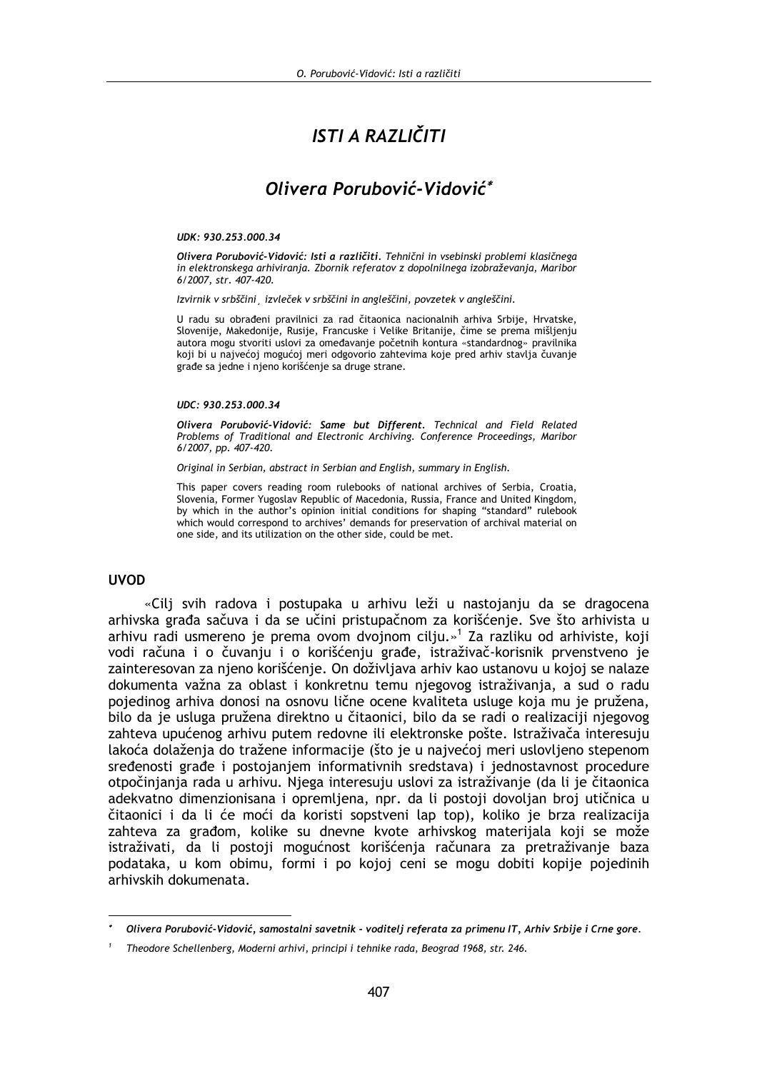# ISTI A RAZLIČITI

## Olivera Porubović-Vidović\*

#### UDK: 930.253.000.34

Olivera Porubović-Vidović: Isti a različiti. Tehnični in vsebinski problemi klasičnega in elektronskega arhiviranja. Zbornik referatov z dopolnilnega izobraževanja, Maribor 6/2007, str. 407-420.

Izvirnik v srbščini izvleček v srbščini in angleščini, povzetek v angleščini.

U radu su obrađeni pravilnici za rad čitaonica nacionalnih arhiva Srbije, Hrvatske, Slovenije, Makedonije, Rusije, Francuske i Velike Britanije, čime se prema mišljenju autora mogu stvoriti uslovi za omeđavanje početnih kontura «standardnog» pravilnika koji bi u najvećoj mogućoj meri odgovorio zahtevima koje pred arhiv stavlja čuvanje građe sa jedne i njeno korišćenje sa druge strane.

#### $IIDC: 930, 253, 000, 34$

Olivera Porubović-Vidović: Same but Different. Technical and Field Related Problems of Traditional and Electronic Archiving. Conference Proceedings, Maribor 6/2007, pp. 407-420.

Original in Serbian, abstract in Serbian and English, summary in English.

This paper covers reading room rulebooks of national archives of Serbia, Croatia, Slovenia, Former Yugoslav Republic of Macedonia, Russia, France and United Kingdom, by which in the author's opinion initial conditions for shaping "standard" rulebook which would correspond to archives' demands for preservation of archival material on one side, and its utilization on the other side, could be met.

#### **IIVOD**

«Cili svih radova i postupaka u arhivu leži u nastojanju da se dragocena arhivska građa sačuva i da se učini pristupačnom za korišćenie. Sve što arhivista u arhivu radi usmereno je prema ovom dvojnom cilju.»<sup>1</sup> Za razliku od arhiviste, koji vodi računa i o čuvanju i o korišćenju građe, istraživač-korisnik prvenstveno je zainteresovan za njeno korišćenje. On doživljava arhiv kao ustanovu u kojoj se nalaze dokumenta važna za oblast i konkretnu temu njegovog istraživanja, a sud o radu pojedinog arhiva donosi na osnovu lične ocene kvaliteta usluge koja mu je pružena, bilo da je usluga pružena direktno u čitaonici, bilo da se radi o realizaciji njegovog zahteva upućenog arhivu putem redovne ili elektronske pošte. Istraživača interesuju lakoća dolaženja do tražene informacije (što je u najvećoj meri uslovljeno stepenom sređenosti građe i postojanjem informativnih sredstava) i jednostavnost procedure otpočinjanja rada u arhivu. Njega interesuju uslovi za istraživanje (da li je čitaonica adekvatno dimenzionisana i opremljena, npr. da li postoji dovoljan broj utičnica u čitaonici i da li će moći da koristi sopstveni lap top), koliko je brza realizacija zahteva za građom, kolike su dnevne kvote arhivskog materijala koji se može istraživati, da li postoji mogućnost korišćenja računara za pretraživanje baza podataka, u kom obimu, formi i po kojoj ceni se mogu dobiti kopije pojedinih arhivskih dokumenata.

Olivera Porubović-Vidović, samostalni savetnik - voditelj referata za primenu IT, Arhiv Srbije i Crne gore.

Theodore Schellenberg, Moderni arhivi, principi i tehnike rada, Beograd 1968, str. 246.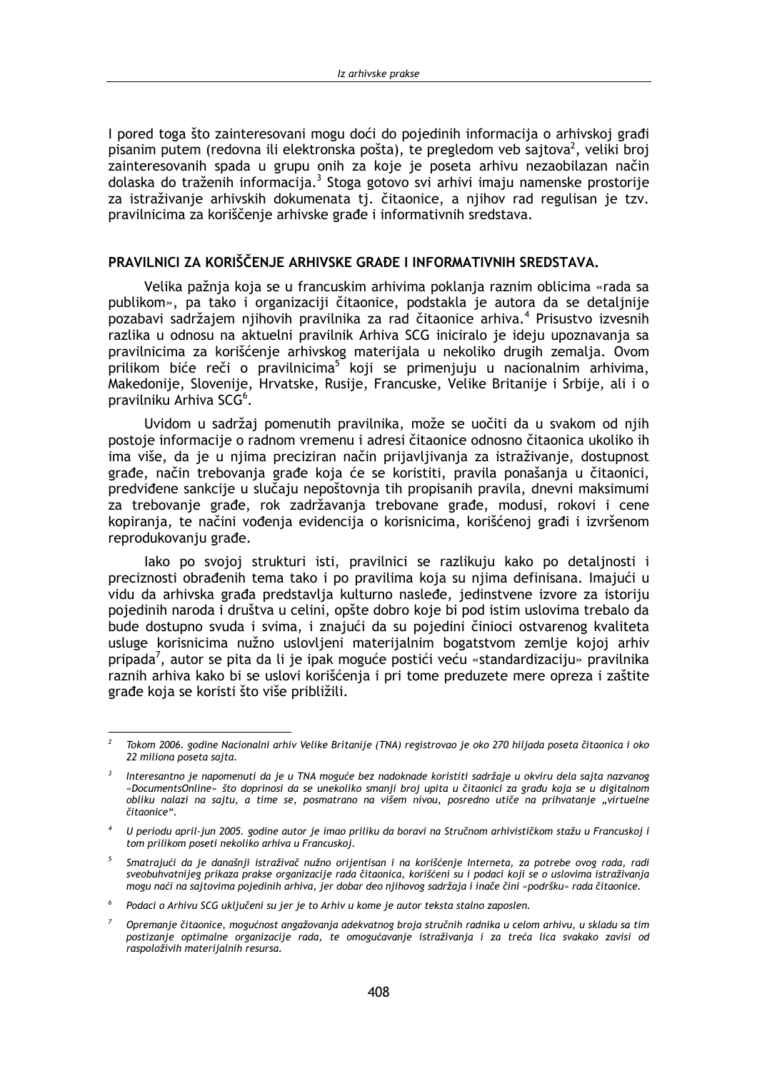I pored toga što zainteresovani mogu doći do pojedinih informacija o arhivskoj građi pisanim putem (redovna ili elektronska pošta), te pregledom veb saitova<sup>2</sup>, veliki broj zainteresovanih spada u grupu onih za koje je poseta arhivu nezaobilazan način dolaska do traženih informacija.<sup>3</sup> Stoga gotovo svi arhivi imaju namenske prostorije za istraživanje arhivskih dokumenata tj. čitaonice, a njihov rad regulisan je tzv. pravilnicima za koriščenje arhivske građe i informativnih sredstava.

#### PRAVILNICI ZA KORIŠČENJE ARHIVSKE GRAĐE I INFORMATIVNIH SREDSTAVA.

Velika pažnja koja se u francuskim arhivima poklanja raznim oblicima «rada sa publikom», pa tako i organizaciji čitaonice, podstakla je autora da se detaljnije pozabavi sadržajem njihovih pravilnika za rad čitaonice arhiva.<sup>4</sup> Prisustvo izvesnih razlika u odnosu na aktuelni pravilnik Arhiva SCG iniciralo je ideju upoznavanja sa pravilnicima za korišćenje arhivskog materijala u nekoliko drugih zemalja. Ovom prilikom biće reči o pravilnicima<sup>5</sup> koji se primenjuju u nacionalnim arhivima, Makedonije, Slovenije, Hrvatske, Rusije, Francuske, Velike Britanije i Srbije, ali i o pravilniku Arhiva SCG<sup>6</sup>.

Uvidom u sadržaj pomenutih pravilnika, može se uočiti da u svakom od njih postoje informacije o radnom vremenu i adresi čitaonice odnosno čitaonica ukoliko ih ima više, da je u njima preciziran način prijavljivanja za istraživanje, dostupnost građe, način trebovanja građe koja će se koristiti, pravila ponašanja u čitaonici, predviđene sankcije u slučaju nepoštovnja tih propisanih pravila, dnevni maksimumi za trebovanje građe, rok zadržavanja trebovane građe, modusi, rokovi i cene kopiranja, te načini vođenja evidencija o korisnicima, korišćenoj građi i izvršenom reprodukovanju građe.

lako po svojoj strukturi isti, pravilnici se razlikuju kako po detaljnosti i preciznosti obrađenih tema tako i po pravilima koja su njima definisana. Imajući u vidu da arhivska građa predstavlja kulturno nasleđe, jedinstvene izvore za istoriju pojedinih naroda i društva u celini, opšte dobro koje bi pod istim uslovima trebalo da bude dostupno svuda i svima, i znajući da su pojedini činioci ostvarenog kvaliteta usluge korisnicima nužno uslovljeni materijalnim bogatstvom zemlje kojoj arhiv pripada<sup>7</sup>, autor se pita da li je ipak moguće postići veću «standardizaciju» pravilnika raznih arhiva kako bi se uslovi korišćenia i pri tome preduzete mere opreza i zaštite građe koja se koristi što više približili.

Tokom 2006. godine Nacionalni arhiv Velike Britanije (TNA) registrovao je oko 270 hiljada poseta čitaonica i oko 22 miliona poseta sajta.

Interesantno je napomenuti da je u TNA moguće bez nadoknade koristiti sadržaje u okviru dela sajta nazvanog «DocumentsOnline» što doprinosi da se unekoliko smanii broi upita u čitaonici za građu koja se u digitalnom obliku nalazi na sajtu, a time se, posmatrano na višem nivou, posredno utiče na prihvatanje "virtuelne čitaonice"

U periodu april-jun 2005. godine autor je imao priliku da boravi na Stručnom arhivističkom stažu u Francuskoj i tom prilikom poseti nekoliko arhiva u Francuskoj.

<sup>&</sup>lt;sup>5</sup> Smatrajući da je današnji istraživač nužno orijentisan i na korišćenje Interneta, za potrebe ovog rada, radi sveobuhvatnijeg prikaza prakse organizacije rada čitaonica, korišćeni su i podaci koji se o uslovima istraživanja mogu naći na sajtovima pojedinih arhiva, jer dobar deo njihovog sadržaja i inače čini «podršku» rada čitaonice.

<sup>&</sup>lt;sup>6</sup> Podaci o Arhivu SCG uključeni su jer je to Arhiv u kome je autor teksta stalno zaposlen.

Opremanje čitaonice, mogućnost angažovanja adekvatnog broja stručnih radnika u celom arhivu, u skladu sa tim postizanje optimalne organizacije rada, te omogućavanje istraživanja i za treća lica svakako zavisi od raspoloživih materijalnih resursa.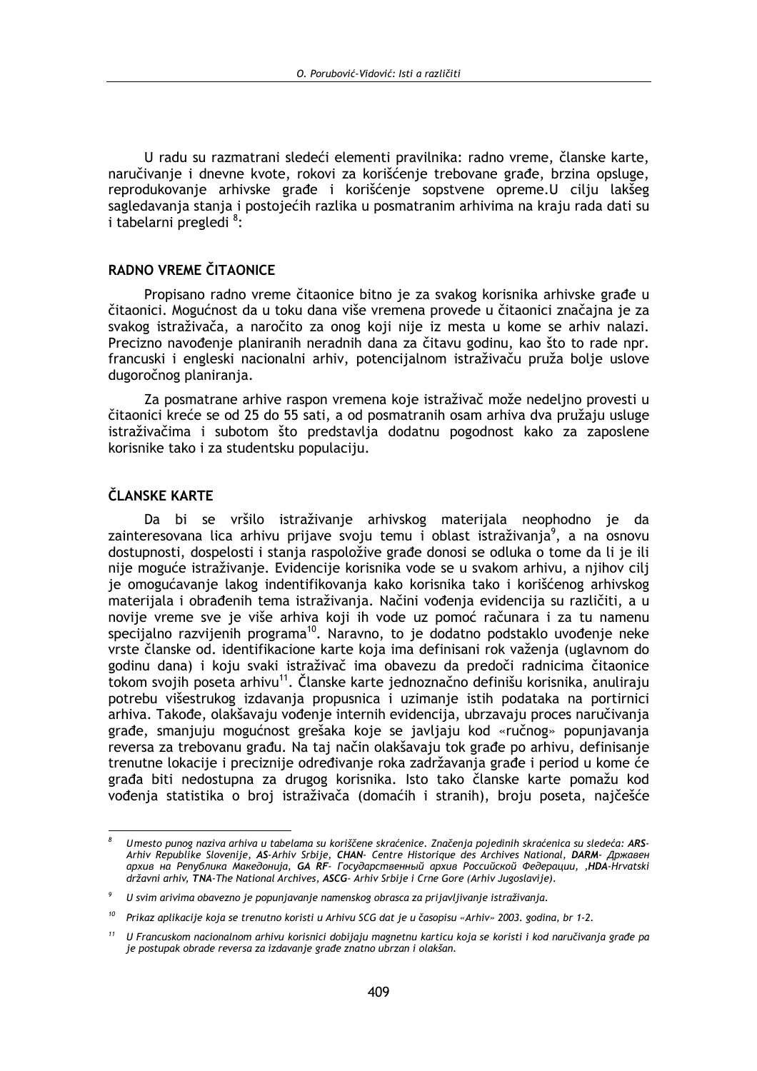U radu su razmatrani sledeći elementi pravilnika: radno vreme, članske karte, naručivanje i dnevne kvote, rokovi za korišćenje trebovane građe, brzina opsluge, reprodukovanje arhivske građe i korišćenje sopstvene opreme.U cilju lakšeg sagledavanja stanja i postojećih razlika u posmatranim arhivima na kraju rada dati su i tabelarni pregledi <sup>8</sup>:

#### RADNO VREME ČITAONICE

Propisano radno vreme čitaonice bitno je za svakog korisnika arhivske građe u čitaonici. Mogućnost da u toku dana više vremena provede u čitaonici značajna je za svakog istraživača, a naročito za onog koji nije iz mesta u kome se arhiv nalazi. Precizno navođenje planiranih neradnih dana za čitavu godinu, kao što to rade npr. francuski i engleski nacionalni arhiv, potencijalnom istraživaču pruža bolje uslove dugoročnog planiranja.

Za posmatrane arhive raspon vremena koje istraživač može nedeljno provesti u čitaonici kreće se od 25 do 55 sati, a od posmatranih osam arhiva dva pružaju usluge istraživačima i subotom što predstavlja dodatnu pogodnost kako za zaposlene korisnike tako i za studentsku populaciju.

### ČLANSKE KARTE

Da bi se vršilo istraživanje arhivskog materijala neophodno je da zainteresovana lica arhivu prijave svoju temu i oblast istraživanja<sup>9</sup>, a na osnovu dostupnosti, dospelosti i stanja raspoložive građe donosi se odluka o tome da li je ili nije moguće istraživanje. Evidencije korisnika vode se u svakom arhivu, a njihov cilj je omogućavanje lakog indentifikovanja kako korisnika tako i korišćenog arhivskog materijala i obrađenih tema istraživanja. Načini vođenja evidencija su različiti, a u novije vreme sve je više arhiva koji ih vode uz pomoć računara i za tu namenu specijalno razvijenih programa<sup>10</sup>. Naravno, to je dodatno podstaklo uvođenje neke vrste članske od. identifikacione karte koja ima definisani rok važenia (uglavnom do godinu dana) i koju svaki istraživač ima obavezu da predoči radnicima čitaonice tokom svojih poseta arhivu<sup>11</sup>. Članske karte jednoznačno definišu korisnika, anuliraju potrebu višestrukog izdavanja propusnica i uzimanje istih podataka na portirnici arhiva. Takođe, olakšavaju vođenje internih evidencija, ubrzavaju proces naručivanja građe, smanjuju mogućnost grešaka koje se javljaju kod «ručnog» popunjavanja reversa za trebovanu građu. Na taj način olakšavaju tok građe po arhivu, definisanje trenutne lokacije i preciznije određivanje roka zadržavanja građe i period u kome će građa biti nedostupna za drugog korisnika. Isto tako članske karte pomažu kod vođenja statistika o broj istraživača (domaćih i stranih), broju poseta, najčešće

Umesto punog naziva arhiva u tabelama su koriščene skraćenice. Značenja pojedinih skraćenica su sledeća: ARS-Arhiv Republike Slovenije, AS-Arhiv Srbije, CHAN- Centre Historique des Archives National, DARM- Државен архив на Република Македонија, GA RF- Государственный архив Российской Федерации, "HDA-Hrvatski državni arhiv, TNA-The National Archives, ASCG- Arhiv Srbije i Crne Gore (Arhiv Jugoslavije).

 $\mathfrak{g}$ U svim arivima obavezno je popunjavanje namenskog obrasca za prijavljivanje istraživanja.

<sup>&</sup>lt;sup>10</sup> Prikaz aplikacije koja se trenutno koristi u Arhivu SCG dat je u časopisu «Arhiv» 2003. godina, br 1-2.

<sup>&</sup>lt;sup>11</sup> U Francuskom nacionalnom arhivu korisnici dobijaju magnetnu karticu koja se koristi i kod naručivanja građe pa je postupak obrade reversa za izdavanje građe znatno ubrzan i olakšan.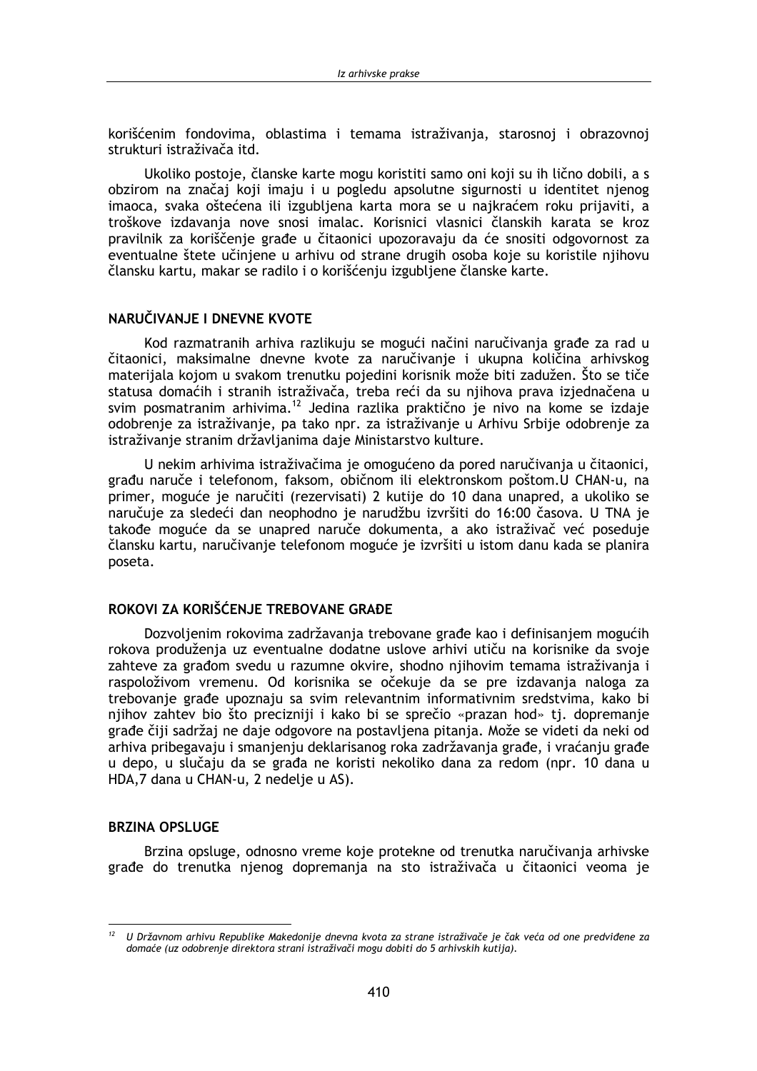korišćenim fondovima, oblastima i temama istraživania, starosnoj i obrazovnoj strukturi istraživača itd.

Ukoliko postoje, članske karte mogu koristiti samo oni koji su ih lično dobili, a s obzirom na značaj koji imaju i u pogledu apsolutne sigurnosti u identitet njenog imaoca, svaka oštećena ili izgubliena karta mora se u naikraćem roku prijaviti, a troškove izdavanja nove snosi imalac. Korisnici vlasnici članskih karata se kroz pravilnik za koriščenje građe u čitaonici upozoravaju da će snositi odgovornost za eventualne štete učinjene u arhivu od strane drugih osoba koje su koristile njihovu člansku kartu, makar se radilo i o korišćenju izgubljene članske karte.

#### NARUČIVANJE I DNEVNE KVOTE

Kod razmatranih arhiva razlikuju se mogući načini naručivanja građe za rad u čitaonici, maksimalne dnevne kvote za naručivanje i ukupna količina arhivskog materijala kojom u svakom trenutku pojedini korisnik može biti zadužen. Što se tiče statusa domaćih i stranih istraživača, treba reći da su njihova prava izjednačena u svim posmatranim arhivima.<sup>12</sup> Jedina razlika praktično je nivo na kome se izdaje odobrenje za istraživanje, pa tako npr. za istraživanje u Arhivu Srbije odobrenje za istraživanje stranim državljanima daje Ministarstvo kulture.

U nekim arhivima istraživačima je omogućeno da pored naručivanja u čitaonici, građu naruče i telefonom, faksom, običnom ili elektronskom poštom. U CHAN-u, na primer, moguće je naručiti (rezervisati) 2 kutije do 10 dana unapred, a ukoliko se naručuje za sledeći dan neophodno je narudžbu izvršiti do 16:00 časova. U TNA je takođe moguće da se unapred naruče dokumenta, a ako istraživač već poseduje člansku kartu, naručivanje telefonom moguće je izvršiti u istom danu kada se planira poseta.

### ROKOVI ZA KORIŠĆENJE TREBOVANE GRAĐE

Dozvoljenim rokovima zadržavanja trebovane građe kao i definisanjem mogućih rokova produženja uz eventualne dodatne uslove arhivi utiču na korisnike da svoje zahteve za građom svedu u razumne okvire, shodno njihovim temama istraživanja i raspoloživom vremenu. Od korisnika se očekuje da se pre izdavanja naloga za trebovanje građe upoznaju sa svim relevantnim informativnim sredstvima, kako bi njihov zahtev bio što precizniji i kako bi se sprečio «prazan hod» tj. dopremanje građe čiji sadržaj ne daje odgovore na postavljena pitanja. Može se videti da neki od arhiva pribegavaju i smanjenju deklarisanog roka zadržavanja građe, i vraćanju građe u depo, u slučaju da se građa ne koristi nekoliko dana za redom (npr. 10 dana u HDA,7 dana u CHAN-u, 2 nedelje u AS).

#### **BRZINA OPSLUGE**

Brzina opsluge, odnosno vreme koje protekne od trenutka naručivanja arhivske građe do trenutka njenog dopremanja na sto istraživača u čitaonici veoma je

<sup>&</sup>lt;sup>12</sup> U Državnom arhivu Republike Makedonije dnevna kvota za strane istraživače je čak veća od one predviđene za domaće (uz odobrenje direktora strani istraživači mogu dobiti do 5 arhivskih kutija).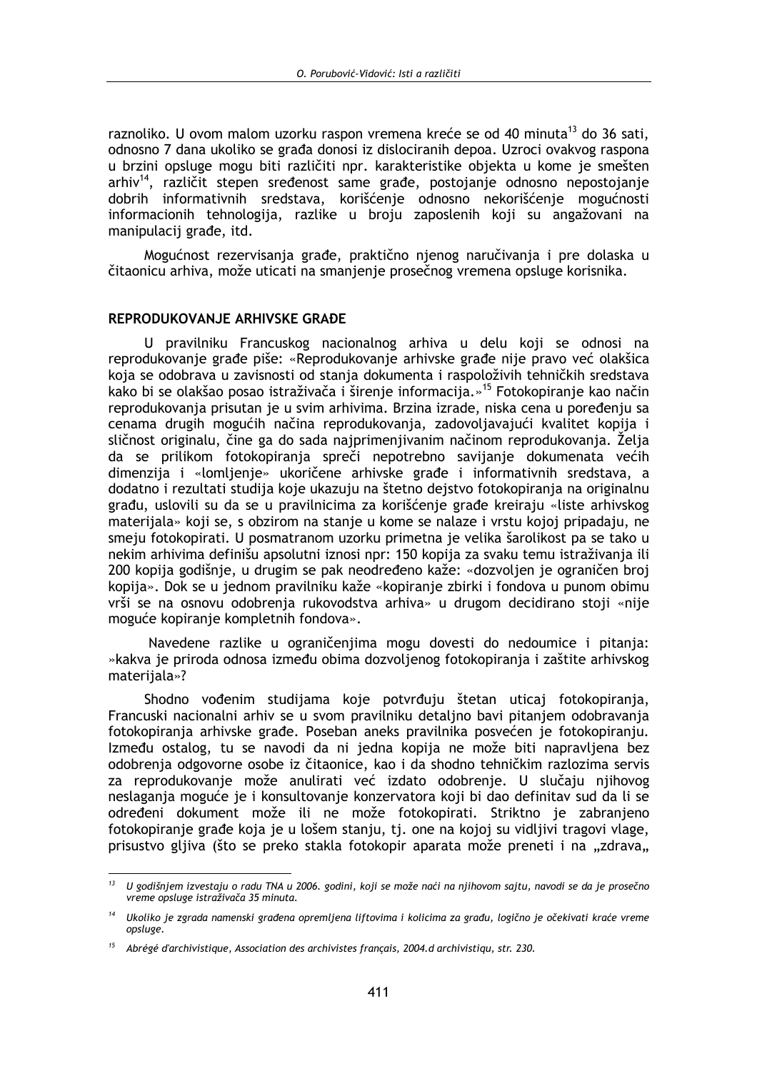raznoliko. U ovom malom uzorku raspon vremena kreće se od 40 minuta<sup>13</sup> do 36 sati, odnosno 7 dana ukoliko se građa donosi iz dislociranih depoa. Uzroci ovakvog raspona u brzini opsluge mogu biti različiti npr. karakteristike obiekta u kome je smešten arhiv<sup>14</sup>, različit stepen sređenost same građe, postojanje odnosno nepostojanje dobrih informativnih sredstava, korišćenje odnosno nekorišćenje mogućnosti informacionih tehnologija, razlike u broju zaposlenih koji su angažovani na manipulacij građe, itd.

Mogućnost rezervisanja građe, praktično njenog naručivanja i pre dolaska u čitaonicu arhiva, može uticati na smanjenje prosečnog vremena opsluge korisnika.

#### REPRODUKOVANJE ARHIVSKE GRAĐE

U pravilniku Francuskog nacionalnog arhiva u delu koji se odnosi na reprodukovanje građe piše: «Reprodukovanje arhivske građe nije pravo već olakšica koja se odobrava u zavisnosti od stanja dokumenta i raspoloživih tehničkih sredstava kako bi se olakšao posao istraživača i širenje informacija.»<sup>15</sup> Fotokopiranje kao način reprodukovanja prisutan je u svim arhivima. Brzina izrade, niska cena u poređenju sa cenama drugih mogućih načina reprodukovanja, zadovoljavajući kvalitet kopija i sličnost originalu, čine ga do sada najprimenjivanim načinom reprodukovanja. Želja da se prilikom fotokopiranja spreči nepotrebno savijanje dokumenata većih dimenzija i «lomljenje» ukoričene arhivske građe i informativnih sredstava, a dodatno i rezultati studija koje ukazuju na štetno dejstvo fotokopiranja na originalnu građu, uslovili su da se u pravilnicima za korišćenje građe kreiraju «liste arhivskog materijala» koji se, s obzirom na stanje u kome se nalaze i vrstu kojoj pripadaju, ne smeju fotokopirati. U posmatranom uzorku primetna je velika šarolikost pa se tako u nekim arhivima definišu apsolutni iznosi npr: 150 kopija za svaku temu istraživanja ili 200 kopija godišnje, u drugim se pak neodređeno kaže: «dozvoljen je ograničen broj kopija». Dok se u jednom pravilniku kaže «kopiranje zbirki i fondova u punom obimu vrši se na osnovu odobrenia rukovodstva arhiva» u drugom decidirano stoji «nije moguće kopiranje kompletnih fondova».

Navedene razlike u ograničenijma mogu dovesti do nedoumice i pitania: »kakva je priroda odnosa između obima dozvoljenog fotokopiranja i zaštite arhivskog materijala»?

Shodno vođenim studijama koje potvrđuju štetan uticaj fotokopiranja, Francuski nacionalni arhiv se u svom pravilniku detaljno bavi pitanjem odobravanja fotokopiranja arhivske građe. Poseban aneks pravilnika posvećen je fotokopiranju. Između ostalog, tu se navodi da ni jedna kopija ne može biti napravljena bez odobrenja odgovorne osobe iz čitaonice, kao i da shodno tehničkim razlozima servis za reprodukovanje može anulirati već izdato odobrenje. U slučaju njihovog neslaganja moguće je i konsultovanje konzervatora koji bi dao definitav sud da li se određeni dokument može ili ne može fotokopirati. Striktno je zabranjeno fotokopiranje građe koja je u lošem stanju, tj. one na kojoj su vidljivi tragovi vlage, prisustvo glijva (što se preko stakla fotokopir aparata može preneti i na "zdrava"

 $13$ U godišniem izvestaju o radu TNA u 2006. godini, koji se može naći na njihovom sajtu, navodi se da je prosečno vreme opsluge istraživača 35 minuta.

<sup>&</sup>lt;sup>14</sup> Ukoliko je zgrada namenski građena opremljena liftovima i kolicima za građu, logično je očekivati kraće vreme opsluge.

 $15$  Abrégé d'archivistique, Association des archivistes français, 2004. d archivistiqu, str. 230.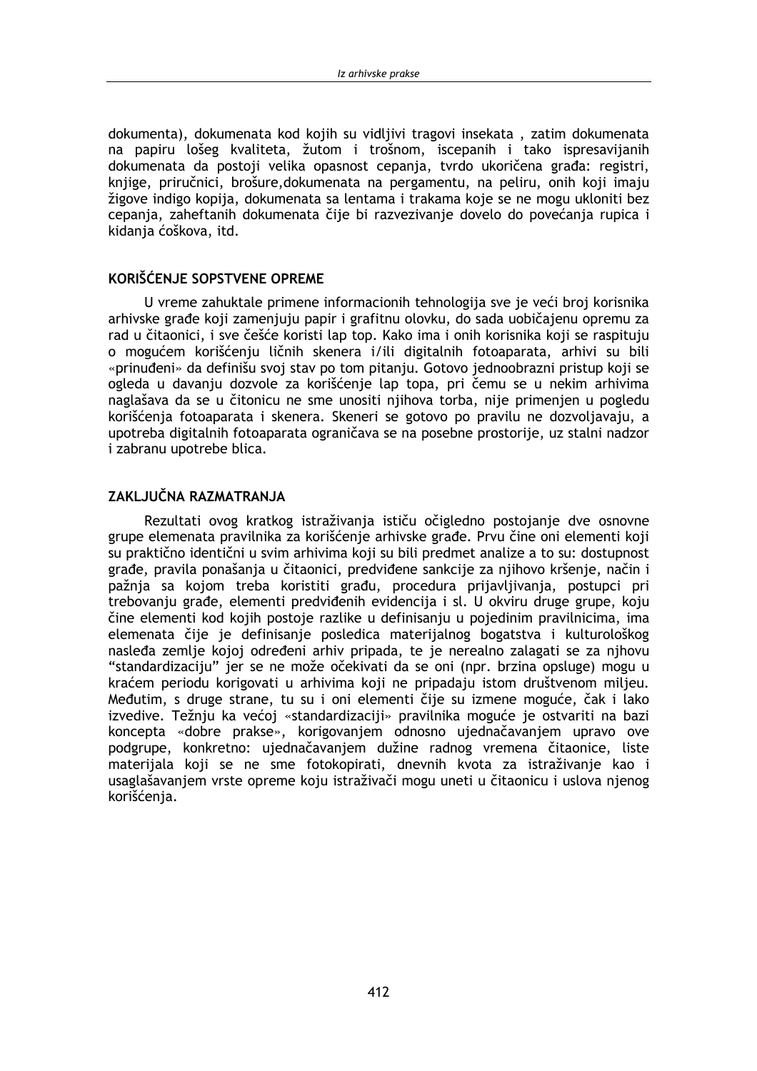dokumenta), dokumenata kod kojih su vidlijvi tragovi insekata, zatim dokumenata na papiru lošeg kvaliteta, žutom i trošnom, iscepanih i tako ispresavijanih dokumenata da postoji velika opasnost cepania, tvrdo ukoričena građa; registri, knjige, priručnici, brošure, dokumenata na pergamentu, na peliru, onih koji imaju žigove indigo kopija, dokumenata sa lentama i trakama koje se ne mogu ukloniti bez cepanja, zaheftanih dokumenata čije bi razvezivanje dovelo do povećanja rupica i kidania ćoškova, itd.

#### KORIŠĆENJE SOPSTVENE OPREME

U vreme zahuktale primene informacionih tehnologija sve je veći broj korisnika arhivske građe koji zamenjuju papir i grafitnu olovku, do sada uobičajenu opremu za rad u čitaonici, i sve češće koristi lap top. Kako ima i onih korisnika koji se raspituju o mogućem korišćenju ličnih skenera i/ili digitalnih fotoaparata, arhivi su bili «prinuđeni» da definišu svoj stav po tom pitanju. Gotovo jednoobrazni pristup koji se ogleda u davanju dozvole za korišćenje lap topa, pri čemu se u nekim arhivima naglašava da se u čitonicu ne sme unositi njihova torba, nije primenjen u pogledu korišćenja fotoaparata i skenera. Skeneri se gotovo po pravilu ne dozvoljavaju, a upotreba digitalnih fotoaparata ograničava se na posebne prostorije, uz stalni nadzor i zabranu upotrebe blica.

### ZAKLJUČNA RAZMATRANJA

Rezultati ovog kratkog istraživanja ističu očigledno postojanje dve osnovne grupe elemenata pravilnika za korišćenje arhivske građe. Prvu čine oni elementi koji su praktično identični u svim arhivima koji su bili predmet analize a to su: dostupnost građe, pravila ponašanja u čitaonici, predviđene sankcije za njihovo kršenje, način i pažnja sa kojom treba koristiti građu, procedura prijavljivanja, postupci pri trebovanju građe, elementi predviđenih evidencija i sl. U okviru druge grupe, koju čine elementi kod kojih postoje razlike u definisanju u pojedinim pravilnicima, ima elemenata čije je definisanje posledica materijalnog bogatstva i kulturološkog nasleđa zemlje kojoj određeni arhiv pripada, te je nerealno zalagati se za njhovu "standardizaciju" jer se ne može očekivati da se oni (npr. brzina opsluge) mogu u kraćem periodu korigovati u arhivima koji ne pripadaju istom društvenom miljeu. Međutim, s druge strane, tu su i oni elementi čije su izmene moguće, čak i lako izvedive. Težnju ka većoj «standardizaciji» pravilnika moguće je ostvariti na bazi koncepta «dobre prakse», korigovanjem odnosno ujednačavanjem upravo ove podgrupe, konkretno: ujednačavanjem dužine radnog vremena čitaonice, liste materijala koji se ne sme fotokopirati, dnevnih kvota za istraživanje kao i usaglašavanjem vrste opreme koju istraživači mogu uneti u čitaonicu i uslova njenog korišćenja.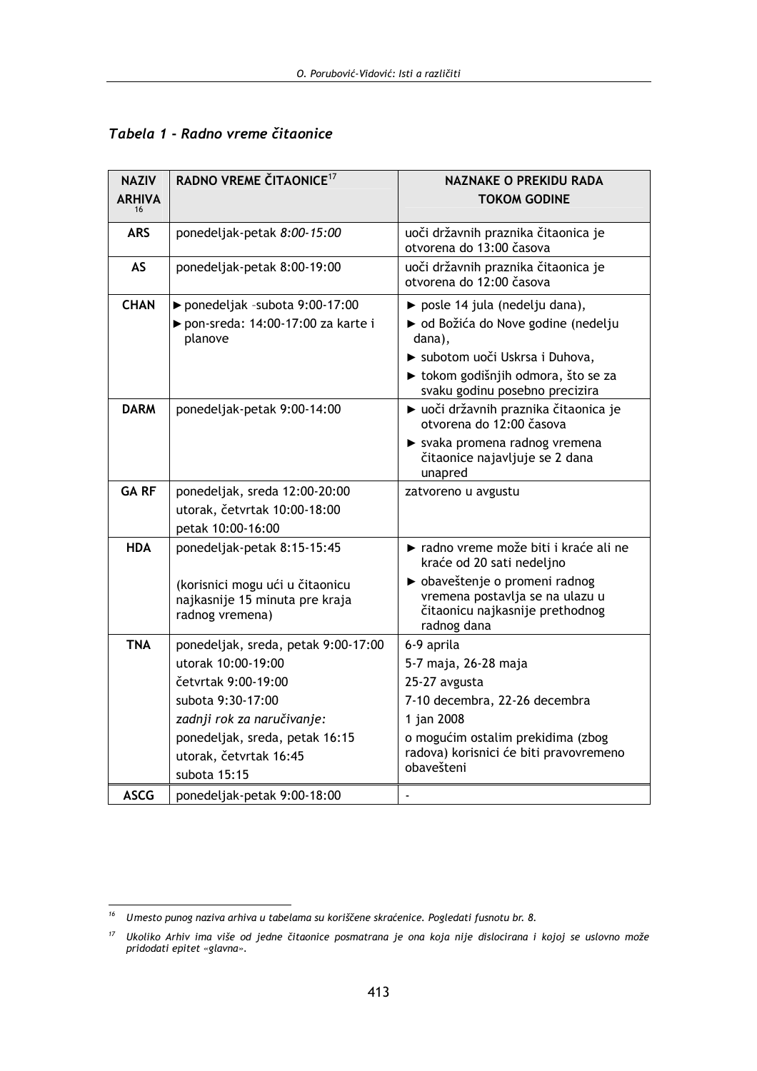| <b>NAZIV</b><br><b>ARHIVA</b><br>16 | RADNO VREME ČITAONICE <sup>17</sup>                                                  | NAZNAKE O PREKIDU RADA<br><b>TOKOM GODINE</b>                                                                       |
|-------------------------------------|--------------------------------------------------------------------------------------|---------------------------------------------------------------------------------------------------------------------|
| ARS                                 | ponedeljak-petak 8:00-15:00                                                          | uoči državnih praznika čitaonica je<br>otvorena do 13:00 časova                                                     |
| AS                                  | ponedeljak-petak 8:00-19:00                                                          | uoči državnih praznika čitaonica je<br>otvorena do 12:00 časova                                                     |
| <b>CHAN</b>                         | ▶ ponedeljak -subota 9:00-17:00<br>▶ pon-sreda: 14:00-17:00 za karte i<br>planove    | ▶ posle 14 jula (nedelju dana),<br>► od Božića do Nove godine (nedelju<br>dana),                                    |
|                                     |                                                                                      | > subotom uoči Uskrsa i Duhova,<br>► tokom godišnjih odmora, što se za<br>svaku godinu posebno precizira            |
| <b>DARM</b>                         | ponedeljak-petak 9:00-14:00                                                          | ► uoči državnih praznika čitaonica je<br>otvorena do 12:00 časova                                                   |
|                                     |                                                                                      | > svaka promena radnog vremena<br>čitaonice najavljuje se 2 dana<br>unapred                                         |
| <b>GARF</b>                         | ponedeljak, sreda 12:00-20:00                                                        | zatvoreno u avgustu                                                                                                 |
|                                     | utorak, četvrtak 10:00-18:00                                                         |                                                                                                                     |
|                                     | petak 10:00-16:00                                                                    |                                                                                                                     |
| <b>HDA</b>                          | ponedeljak-petak 8:15-15:45                                                          | ► radno vreme može biti i kraće ali ne<br>kraće od 20 sati nedeljno                                                 |
|                                     | (korisnici mogu ući u čitaonicu<br>najkasnije 15 minuta pre kraja<br>radnog vremena) | ▶ obaveštenje o promeni radnog<br>vremena postavlja se na ulazu u<br>čitaonicu najkasnije prethodnog<br>radnog dana |
| <b>TNA</b>                          | ponedeljak, sreda, petak 9:00-17:00                                                  | 6-9 aprila                                                                                                          |
|                                     | utorak 10:00-19:00                                                                   | 5-7 maja, 26-28 maja                                                                                                |
|                                     | četvrtak 9:00-19:00                                                                  | 25-27 avgusta                                                                                                       |
|                                     | subota 9:30-17:00                                                                    | 7-10 decembra, 22-26 decembra                                                                                       |
|                                     | zadnji rok za naručivanje:                                                           | 1 jan 2008                                                                                                          |
|                                     | ponedeljak, sreda, petak 16:15                                                       | o mogućim ostalim prekidima (zbog                                                                                   |
|                                     | utorak, četvrtak 16:45                                                               | radova) korisnici će biti pravovremeno<br>obavešteni                                                                |
|                                     | subota 15:15                                                                         |                                                                                                                     |
| <b>ASCG</b>                         | ponedeliak-petak 9:00-18:00                                                          |                                                                                                                     |

### Tabela 1 - Radno vreme čitaonice

 $16$  Umesto punog naziva arhiva u tabelama su koriščene skraćenice. Pogledati fusnotu br. 8.

<sup>&</sup>lt;sup>17</sup> Ukoliko Arhiv ima više od jedne čitaonice posmatrana je ona koja nije dislocirana i kojoj se uslovno može pridodati epitet «glavna».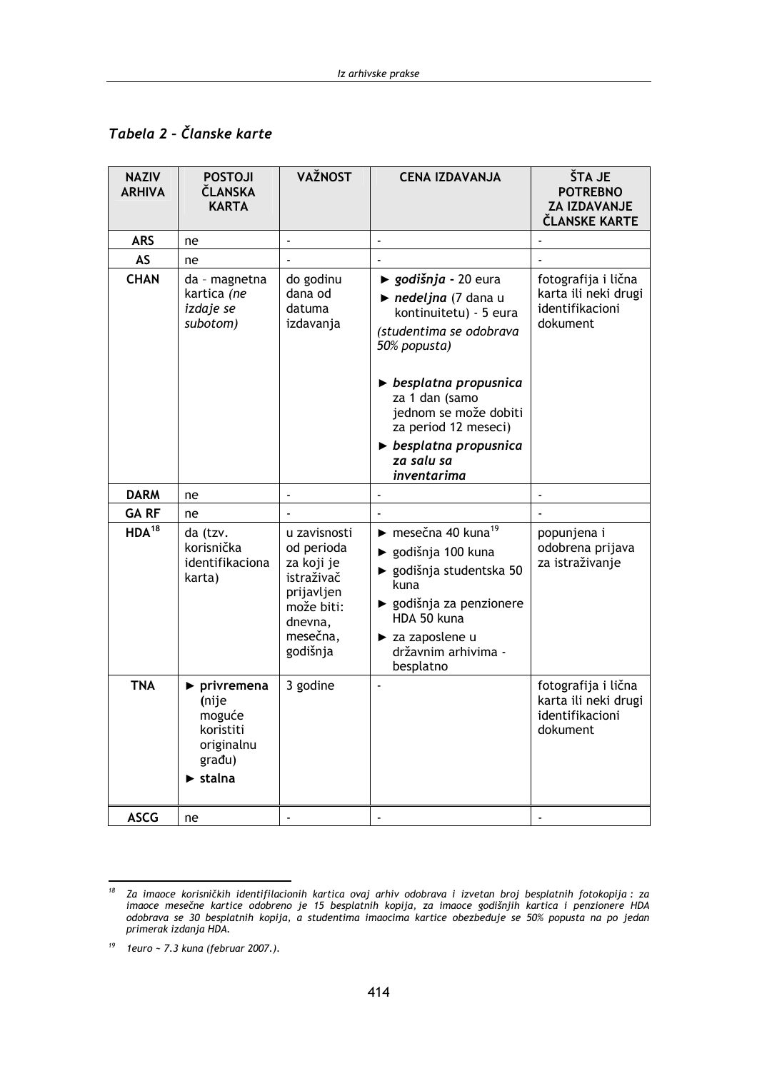## Tabela 2 - Članske karte

| <b>NAZIV</b><br><b>ARHIVA</b> | <b>POSTOJI</b><br>ČLANSKA<br><b>KARTA</b>                                                                                | VAŽNOST                                                                                                               | <b>CENA IZDAVANJA</b>                                                                                                                                                                                                                                                                             | ŠTA JE<br><b>POTREBNO</b><br><b>ZA IZDAVANJE</b><br>ČLANSKE KARTE          |
|-------------------------------|--------------------------------------------------------------------------------------------------------------------------|-----------------------------------------------------------------------------------------------------------------------|---------------------------------------------------------------------------------------------------------------------------------------------------------------------------------------------------------------------------------------------------------------------------------------------------|----------------------------------------------------------------------------|
| <b>ARS</b>                    | ne                                                                                                                       | $\overline{\phantom{a}}$                                                                                              | ä,                                                                                                                                                                                                                                                                                                |                                                                            |
| AS                            | ne                                                                                                                       |                                                                                                                       |                                                                                                                                                                                                                                                                                                   |                                                                            |
| <b>CHAN</b>                   | da - magnetna<br>kartica (ne<br>izdaje se<br>subotom)                                                                    | do godinu<br>dana od<br>datuma<br>izdavanja                                                                           | ► godišnja - 20 eura<br>nedeljna (7 dana u<br>kontinuitetu) - 5 eura<br>(studentima se odobrava<br>50% popusta)<br>$\triangleright$ besplatna propusnica<br>za 1 dan (samo<br>jednom se može dobiti<br>za period 12 meseci)<br>$\triangleright$ besplatna propusnica<br>za salu sa<br>inventarima | fotografija i lična<br>karta ili neki drugi<br>identifikacioni<br>dokument |
| <b>DARM</b>                   | ne                                                                                                                       | ÷,                                                                                                                    |                                                                                                                                                                                                                                                                                                   |                                                                            |
| <b>GARF</b>                   | ne                                                                                                                       |                                                                                                                       |                                                                                                                                                                                                                                                                                                   |                                                                            |
| HDA <sup>18</sup>             | da (tzv.<br>korisnička<br>identifikaciona<br>karta)                                                                      | u zavisnosti<br>od perioda<br>za koji je<br>istraživač<br>prijavljen<br>može biti:<br>dnevna,<br>mesečna,<br>godišnja | $\blacktriangleright$ mesečna 40 kuna <sup>19</sup><br>▶ godišnja 100 kuna<br>▶ godišnja studentska 50<br>kuna<br>▶ godišnja za penzionere<br>HDA 50 kuna<br>> za zaposlene u<br>državnim arhivima -<br>besplatno                                                                                 | popunjena i<br>odobrena prijava<br>za istraživanje                         |
| <b>TNA</b>                    | $\blacktriangleright$ privremena<br>(nije<br>moguće<br>koristiti<br>originalnu<br>građu)<br>$\blacktriangleright$ stalna | 3 godine                                                                                                              |                                                                                                                                                                                                                                                                                                   | fotografija i lična<br>karta ili neki drugi<br>identifikacioni<br>dokument |
| <b>ASCG</b>                   | ne                                                                                                                       |                                                                                                                       |                                                                                                                                                                                                                                                                                                   |                                                                            |

Za imaoce korisničkih identifilacionih kartica ovaj arhiv odobrava i izvetan broj besplatnih fotokopija: za<br>imaoce mesečne kartice odobreno je 15 besplatnih kopija, za imaoce godišnjih kartica i penzionere HDA<br>odobrava se  $18$ primerak izdanja HDA.

 $\it 19$ 1euro ~ 7.3 kuna (februar 2007.).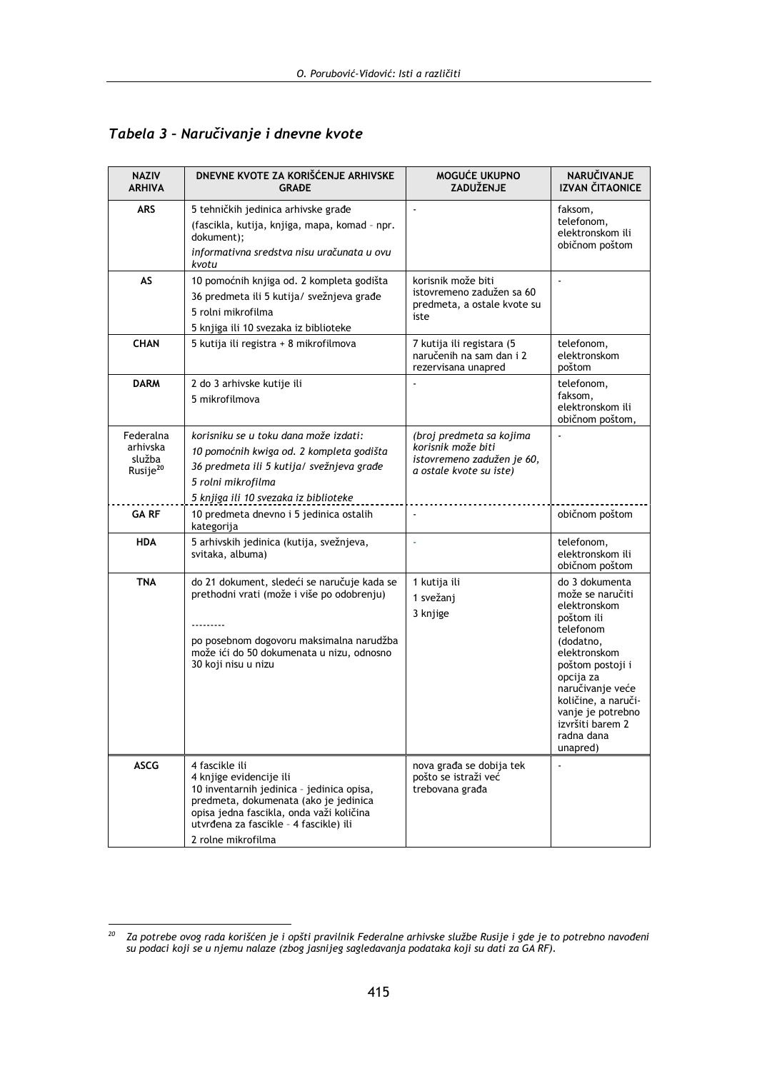| <b>NAZIV</b><br><b>ARHIVA</b>                           | DNEVNE KVOTE ZA KORIŠĆENJE ARHIVSKE<br><b>GRADE</b>                                                                                                                                                                                         | MOGUĆE UKUPNO<br>ZADUŽENJE                                                                              | NARUČIVANJE<br><b>IZVAN ČITAONICE</b>                                                                                                                                                                                                                     |
|---------------------------------------------------------|---------------------------------------------------------------------------------------------------------------------------------------------------------------------------------------------------------------------------------------------|---------------------------------------------------------------------------------------------------------|-----------------------------------------------------------------------------------------------------------------------------------------------------------------------------------------------------------------------------------------------------------|
| <b>ARS</b>                                              | 5 tehničkih jedinica arhivske građe<br>(fascikla, kutija, knjiga, mapa, komad - npr.<br>dokument);<br>informativna sredstva nisu uračunata u ovu<br>kvotu                                                                                   |                                                                                                         | faksom,<br>telefonom,<br>elektronskom ili<br>običnom poštom                                                                                                                                                                                               |
| AS                                                      | 10 pomoćnih knjiga od. 2 kompleta godišta<br>36 predmeta ili 5 kutija/ svežnjeva građe<br>5 rolni mikrofilma<br>5 knjiga ili 10 svezaka iz biblioteke                                                                                       | korisnik može biti<br>istovremeno zadužen sa 60<br>predmeta, a ostale kvote su<br>iste                  |                                                                                                                                                                                                                                                           |
| <b>CHAN</b>                                             | 5 kutija ili registra + 8 mikrofilmova                                                                                                                                                                                                      | 7 kutija ili registara (5<br>naručenih na sam dan i 2<br>rezervisana unapred                            | telefonom,<br>elektronskom<br>poštom                                                                                                                                                                                                                      |
| <b>DARM</b>                                             | 2 do 3 arhivske kutije ili<br>5 mikrofilmova                                                                                                                                                                                                |                                                                                                         | telefonom,<br>faksom,<br>elektronskom ili<br>običnom poštom,                                                                                                                                                                                              |
| Federalna<br>arhivska<br>služba<br>Rusije <sup>20</sup> | korisniku se u toku dana može izdati:<br>10 pomoćnih kwiga od. 2 kompleta godišta<br>36 predmeta ili 5 kutija/ svežnjeva građe<br>5 rolni mikrofilma<br>5 knjiga ili 10 svezaka iz biblioteke                                               | (broj predmeta sa kojima<br>korisnik može biti<br>istovremeno zadužen je 60,<br>a ostale kvote su iste) |                                                                                                                                                                                                                                                           |
| <b>GARF</b>                                             | 10 predmeta dnevno i 5 jedinica ostalih<br>kategorija                                                                                                                                                                                       |                                                                                                         | običnom poštom                                                                                                                                                                                                                                            |
| <b>HDA</b>                                              | 5 arhivskih jedinica (kutija, svežnjeva,<br>svitaka, albuma)                                                                                                                                                                                |                                                                                                         | telefonom,<br>elektronskom ili<br>običnom poštom                                                                                                                                                                                                          |
| <b>TNA</b>                                              | do 21 dokument, sledeći se naručuje kada se<br>prethodni vrati (može i više po odobrenju)<br>po posebnom dogovoru maksimalna narudžba<br>može ići do 50 dokumenata u nizu, odnosno<br>30 koji nisu u nizu                                   | 1 kutija ili<br>1 svežanj<br>3 knjige                                                                   | do 3 dokumenta<br>može se naručiti<br>elektronskom<br>poštom ili<br>telefonom<br>(dodatno,<br>elektronskom<br>poštom postoji i<br>opcija za<br>naručivanje veće<br>količine, a naruči-<br>vanje je potrebno<br>izvršiti barem 2<br>radna dana<br>unapred) |
| <b>ASCG</b>                                             | 4 fascikle ili<br>4 knjige evidencije ili<br>10 inventarnih jedinica - jedinica opisa,<br>predmeta, dokumenata (ako je jedinica<br>opisa jedna fascikla, onda važi količina<br>utvrđena za fascikle - 4 fascikle) ili<br>2 rolne mikrofilma | nova građa se dobija tek<br>pošto se istraži već<br>trebovana građa                                     |                                                                                                                                                                                                                                                           |

Tabela 3 - Naručivanje i dnevne kvote

<sup>20</sup> Za potrebe ovog rada korišćen je i opšti pravilnik Federalne arhivske službe Rusije i gde je to potrebno navođeni<br>su podaci koji se u njemu nalaze (zbog jasnijeg sagledavanja podataka koji su dati za GA RF).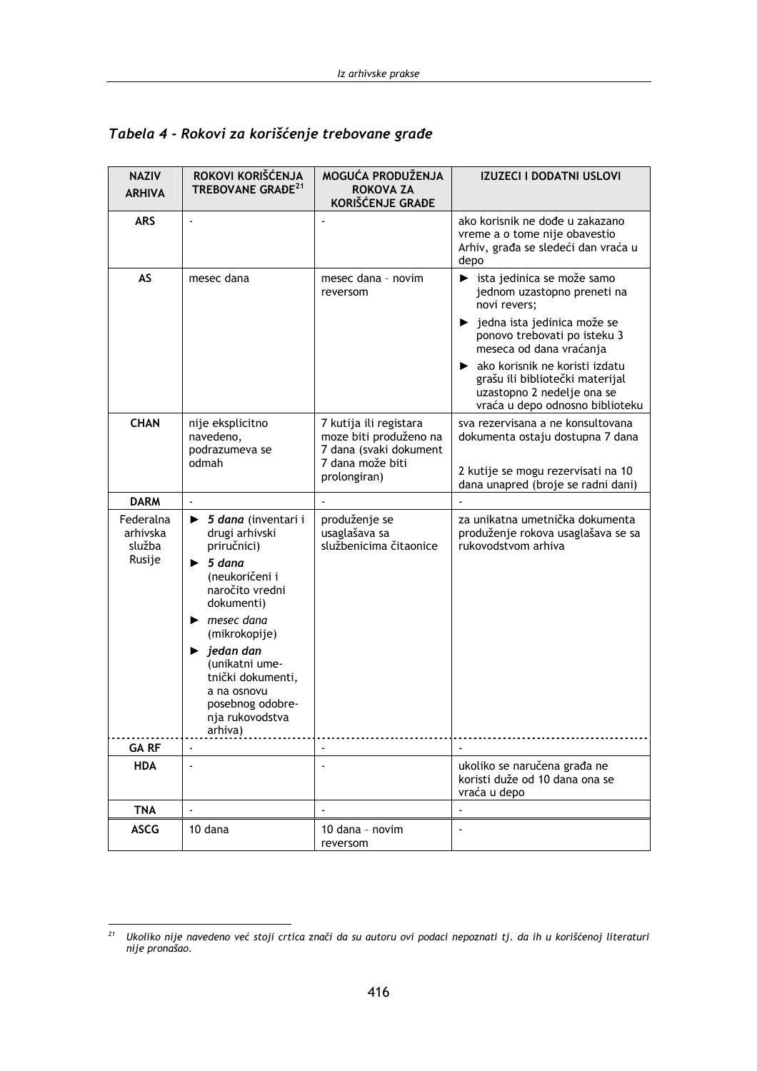| <b>NAZIV</b><br><b>ARHIVA</b>             | ROKOVI KORIŠĆENJA<br>TREBOVANE GRADE <sup>21</sup>                                                                                                                                                                                                                                                                                      | MOGUĆA PRODUŽENJA<br><b>ROKOVA ZA</b><br>KORIŠĆENJE GRAĐE                                                      | <b>IZUZECI I DODATNI USLOVI</b>                                                                                                                                                                                                                                                                               |
|-------------------------------------------|-----------------------------------------------------------------------------------------------------------------------------------------------------------------------------------------------------------------------------------------------------------------------------------------------------------------------------------------|----------------------------------------------------------------------------------------------------------------|---------------------------------------------------------------------------------------------------------------------------------------------------------------------------------------------------------------------------------------------------------------------------------------------------------------|
| <b>ARS</b>                                | $\mathbf{r}$                                                                                                                                                                                                                                                                                                                            |                                                                                                                | ako korisnik ne dođe u zakazano<br>vreme a o tome nije obavestio<br>Arhiv, građa se sledeći dan vraća u<br>depo                                                                                                                                                                                               |
| <b>AS</b>                                 | mesec dana                                                                                                                                                                                                                                                                                                                              | mesec dana - novim<br>reversom                                                                                 | ista jedinica se može samo<br>jednom uzastopno preneti na<br>novi revers;<br>▶ jedna ista jedinica može se<br>ponovo trebovati po isteku 3<br>meseca od dana vraćanja<br>A ako korisnik ne koristi izdatu<br>grašu ili bibliotečki materijal<br>uzastopno 2 nedelje ona se<br>vraća u depo odnosno biblioteku |
| <b>CHAN</b>                               | nije eksplicitno<br>navedeno,<br>podrazumeva se<br>odmah                                                                                                                                                                                                                                                                                | 7 kutija ili registara<br>moze biti produženo na<br>7 dana (svaki dokument<br>7 dana može biti<br>prolongiran) | sva rezervisana a ne konsultovana<br>dokumenta ostaju dostupna 7 dana<br>2 kutije se mogu rezervisati na 10<br>dana unapred (broje se radni dani)                                                                                                                                                             |
| <b>DARM</b>                               |                                                                                                                                                                                                                                                                                                                                         |                                                                                                                |                                                                                                                                                                                                                                                                                                               |
| Federalna<br>arhivska<br>služba<br>Rusije | $\triangleright$ 5 dana (inventari i<br>drugi arhivski<br>priručnici)<br>5 dana<br>▶<br>(neukoričeni i<br>naročito vredni<br>dokumenti)<br>$\blacktriangleright$ mesec dana<br>(mikrokopije)<br>$\blacktriangleright$ jedan dan<br>(unikatni ume-<br>tnički dokumenti,<br>a na osnovu<br>posebnog odobre-<br>nja rukovodstva<br>arhiva) | produženje se<br>usaglašava sa<br>službenicima čitaonice                                                       | za unikatna umetnička dokumenta<br>produženje rokova usaglašava se sa<br>rukovodstvom arhiva                                                                                                                                                                                                                  |
| <b>GARF</b>                               |                                                                                                                                                                                                                                                                                                                                         |                                                                                                                |                                                                                                                                                                                                                                                                                                               |
| <b>HDA</b>                                |                                                                                                                                                                                                                                                                                                                                         |                                                                                                                | ukoliko se naručena građa ne<br>koristi duže od 10 dana ona se<br>vraća u depo                                                                                                                                                                                                                                |
| <b>TNA</b>                                | $\mathbf{r}$                                                                                                                                                                                                                                                                                                                            |                                                                                                                |                                                                                                                                                                                                                                                                                                               |
| <b>ASCG</b>                               | 10 dana                                                                                                                                                                                                                                                                                                                                 | 10 dana - novim<br>reversom                                                                                    | $\blacksquare$                                                                                                                                                                                                                                                                                                |

### Tabela 4 - Rokovi za korišćenje trebovane građe

 $21$  Ukoliko nije navedeno već stoji crtica znači da su autoru ovi podaci nepoznati tj. da ih u korišćenoj literaturi nije pronašao.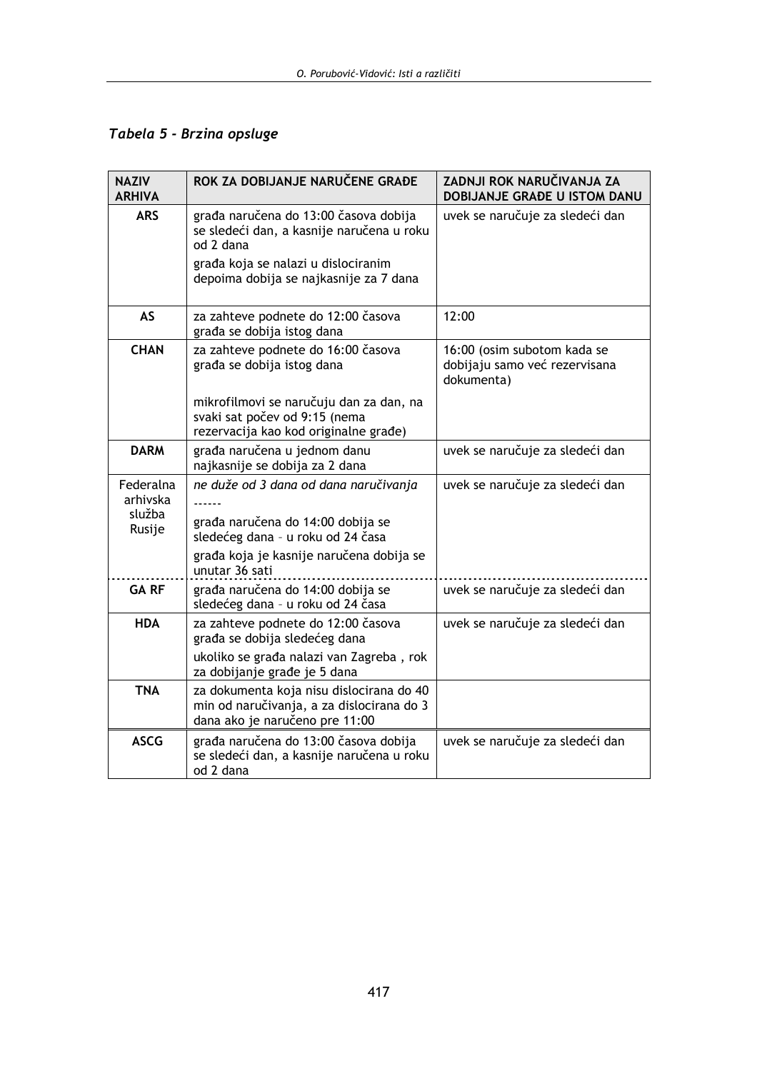Tabela 5 - Brzina opsluge

| <b>NAZIV</b><br><b>ARHIVA</b>             | ROK ZA DOBIJANJE NARUČENE GRAĐE                                                                                                                                                  | ZADNJI ROK NARUČIVANJA ZA<br>DOBIJANJE GRAĐE U ISTOM DANU                  |
|-------------------------------------------|----------------------------------------------------------------------------------------------------------------------------------------------------------------------------------|----------------------------------------------------------------------------|
| <b>ARS</b>                                | građa naručena do 13:00 časova dobija<br>se sledeći dan, a kasnije naručena u roku<br>od 2 dana<br>građa koja se nalazi u dislociranim<br>depoima dobija se najkasnije za 7 dana | uvek se naručuje za sledeći dan                                            |
| <b>AS</b>                                 | za zahteve podnete do 12:00 časova<br>građa se dobija istog dana                                                                                                                 | 12:00                                                                      |
| <b>CHAN</b>                               | za zahteve podnete do 16:00 časova<br>građa se dobija istog dana                                                                                                                 | 16:00 (osim subotom kada se<br>dobijaju samo već rezervisana<br>dokumenta) |
|                                           | mikrofilmovi se naručuju dan za dan, na<br>svaki sat počev od 9:15 (nema<br>rezervacija kao kod originalne građe)                                                                |                                                                            |
| <b>DARM</b>                               | građa naručena u jednom danu<br>najkasnije se dobija za 2 dana                                                                                                                   | uvek se naručuje za sledeći dan                                            |
| Federalna<br>arhivska<br>služba<br>Rusije | ne duže od 3 dana od dana naručivanja<br>građa naručena do 14:00 dobija se<br>sledećeg dana - u roku od 24 časa<br>građa koja je kasnije naručena dobija se<br>unutar 36 sati    | uvek se naručuje za sledeći dan                                            |
| <b>GARF</b>                               | građa naručena do 14:00 dobija se<br>sledećeg dana - u roku od 24 časa                                                                                                           | uvek se naručuje za sledeći dan                                            |
| <b>HDA</b>                                | za zahteve podnete do 12:00 časova<br>građa se dobija sledećeg dana<br>ukoliko se građa nalazi van Zagreba, rok<br>za dobijanje građe je 5 dana                                  | uvek se naručuje za sledeći dan                                            |
| <b>TNA</b>                                | za dokumenta koja nisu dislocirana do 40<br>min od naručivanja, a za dislocirana do 3<br>dana ako je naručeno pre 11:00                                                          |                                                                            |
| <b>ASCG</b>                               | građa naručena do 13:00 časova dobija<br>se sledeći dan, a kasnije naručena u roku<br>od 2 dana                                                                                  | uvek se naručuje za sledeći dan                                            |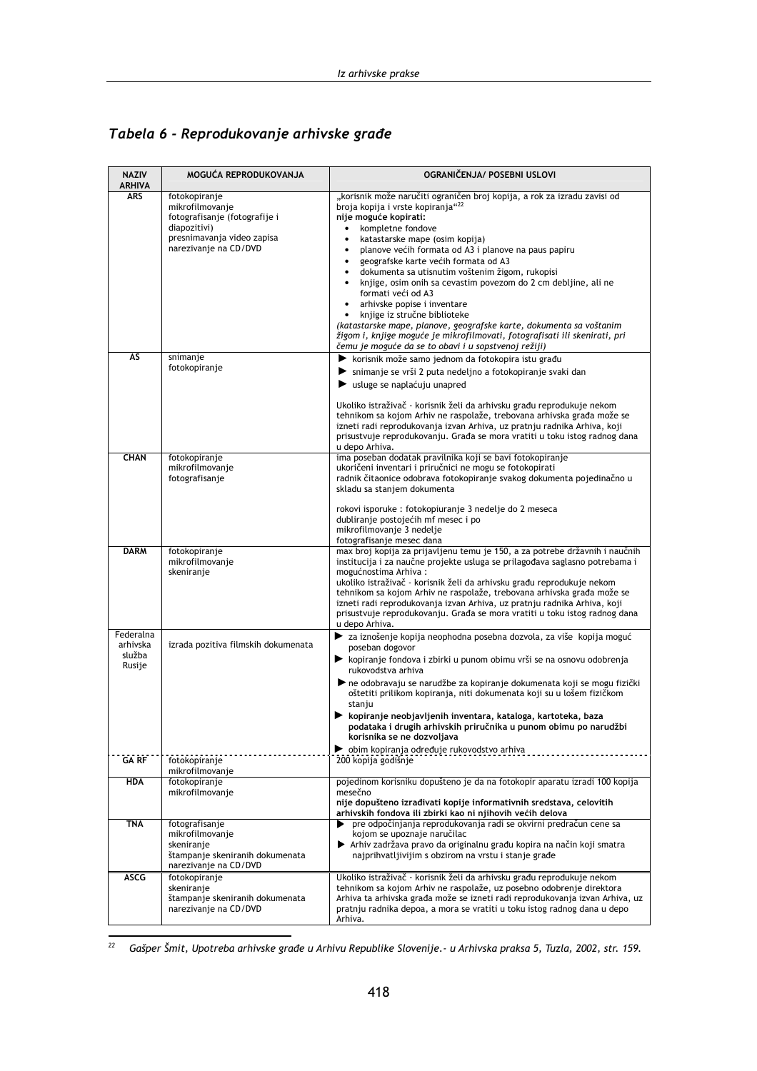# Tabela 6 - Reprodukovanje arhivske građe

| <b>NAZIV</b><br><b>ARHIVA</b>             | MOGUĆA REPRODUKOVANJA                                                                                                                    | OGRANIČENJA/ POSEBNI USLOVI                                                                                                                                                                                                                                                                                                                                                                                                                                                                                                                                                                                                                                                                                                                                                               |
|-------------------------------------------|------------------------------------------------------------------------------------------------------------------------------------------|-------------------------------------------------------------------------------------------------------------------------------------------------------------------------------------------------------------------------------------------------------------------------------------------------------------------------------------------------------------------------------------------------------------------------------------------------------------------------------------------------------------------------------------------------------------------------------------------------------------------------------------------------------------------------------------------------------------------------------------------------------------------------------------------|
| <b>ARS</b>                                | fotokopiranje<br>mikrofilmovanje<br>fotografisanje (fotografije i<br>diapozitivi)<br>presnimavanja video zapisa<br>narezivanje na CD/DVD | "korisnik može naručiti ograničen broj kopija, a rok za izradu zavisi od<br>broja kopija i vrste kopiranja" <sup>22</sup><br>nije moguće kopirati:<br>kompletne fondove<br>katastarske mape (osim kopija)<br>۰<br>planove većih formata od A3 i planove na paus papiru<br>$\bullet$<br>geografske karte većih formata od A3<br>$\bullet$<br>dokumenta sa utisnutim voštenim žigom, rukopisi<br>knjige, osim onih sa cevastim povezom do 2 cm debljine, ali ne<br>$\bullet$<br>formati veći od A3<br>arhivske popise i inventare<br>$\bullet$<br>knjige iz stručne biblioteke<br>(katastarske mape, planove, geografske karte, dokumenta sa voštanim<br>žigom i, knjige moguće je mikrofilmovati, fotografisati ili skenirati, pri<br>čemu je moguće da se to obavi i u sopstvenoj režiji) |
| AS                                        | snimanje<br>fotokopiranje                                                                                                                | ▶ korisnik može samo jednom da fotokopira istu građu<br>Simmanje se vrši 2 puta nedeljno a fotokopiranje svaki dan<br>usluge se naplaćuju unapred<br>Ukoliko istraživač - korisnik želi da arhivsku građu reprodukuje nekom<br>tehnikom sa kojom Arhiv ne raspolaže, trebovana arhivska građa može se<br>izneti radi reprodukovanja izvan Arhiva, uz pratnju radnika Arhiva, koji<br>prisustvuje reprodukovanju. Građa se mora vratiti u toku istog radnog dana<br>u depo Arhiva.                                                                                                                                                                                                                                                                                                         |
| <b>CHAN</b>                               | fotokopiranje<br>mikrofilmovanje<br>fotografisanje                                                                                       | ima poseban dodatak pravilnika koji se bavi fotokopiranje<br>ukoričeni inventari i priručnici ne mogu se fotokopirati<br>radnik čitaonice odobrava fotokopiranje svakog dokumenta pojedinačno u<br>skladu sa staniem dokumenta<br>rokovi isporuke : fotokopiuranje 3 nedelje do 2 meseca<br>dubliranje postojećih mf mesec i po<br>mikrofilmovanje 3 nedelje<br>fotografisanje mesec dana                                                                                                                                                                                                                                                                                                                                                                                                 |
| <b>DARM</b>                               | fotokopiranje<br>mikrofilmovanje<br>skeniranje                                                                                           | max broj kopija za prijavljenu temu je 150, a za potrebe državnih i naučnih<br>institucija i za naučne projekte usluga se prilagođava saglasno potrebama i<br>mogućnostima Arhiva:<br>ukoliko istraživač - korisnik želi da arhivsku građu reprodukuje nekom<br>tehnikom sa kojom Arhiv ne raspolaže, trebovana arhivska građa može se<br>izneti radi reprodukovanja izvan Arhiva, uz pratnju radnika Arhiva, koji<br>prisustvuje reprodukovanju. Građa se mora vratiti u toku istog radnog dana<br>u depo Arhiva.                                                                                                                                                                                                                                                                        |
| Federalna<br>arhivska<br>služba<br>Rusije | izrada pozitiva filmskih dokumenata                                                                                                      | > za iznošenje kopija neophodna posebna dozvola, za više kopija moguć<br>poseban dogovor<br>► kopiranje fondova i zbirki u punom obimu vrši se na osnovu odobrenja<br>rukovodstva arhiva<br>ne odobravaju se narudžbe za kopiranje dokumenata koji se mogu fizički<br>oštetiti prilikom kopiranja, niti dokumenata koji su u lošem fizičkom<br>stanju<br>▶ kopiranje neobjavljenih inventara, kataloga, kartoteka, baza<br>podataka i drugih arhivskih priručnika u punom obimu po narudžbi<br>korisnika se ne dozvoljava<br>bobim kopiranja određuje rukovodstvo arhiva                                                                                                                                                                                                                  |
| <b>GA RF</b><br><b>HDA</b>                | fotokopiranje<br>mikrofilmovanje<br>fotokopiranie                                                                                        | 200 kopija godišnje<br>pojedinom korisniku dopušteno je da na fotokopir aparatu izradi 100 kopija                                                                                                                                                                                                                                                                                                                                                                                                                                                                                                                                                                                                                                                                                         |
|                                           | mikrofilmovanje                                                                                                                          | mesečno<br>nije dopušteno izrađivati kopije informativnih sredstava, celovitih<br>arhivskih fondova ili zbirki kao ni njihovih većih delova                                                                                                                                                                                                                                                                                                                                                                                                                                                                                                                                                                                                                                               |
| TNA                                       | fotografisanje<br>mikrofilmovanje<br>skeniranje<br>štampanje skeniranih dokumenata<br>narezivanje na CD/DVD                              | pre odpočinjanja reprodukovanja radi se okvirni predračun cene sa<br>kojom se upoznaje naručilac<br>Arhiv zadržava pravo da originalnu građu kopira na način koji smatra<br>najprihvatljivijim s obzirom na vrstu i stanje građe                                                                                                                                                                                                                                                                                                                                                                                                                                                                                                                                                          |
| <b>ASCG</b>                               | fotokopiranje<br>skeniranje<br>štampanje skeniranih dokumenata<br>narezivanje na CD/DVD                                                  | Ukoliko istraživač - korisnik želi da arhivsku građu reprodukuje nekom<br>tehnikom sa kojom Arhiv ne raspolaže, uz posebno odobrenje direktora<br>Arhiva ta arhivska građa može se izneti radi reprodukovanja izvan Arhiva, uz<br>pratnju radnika depoa, a mora se vratiti u toku istog radnog dana u depo<br>Arhiva.                                                                                                                                                                                                                                                                                                                                                                                                                                                                     |

 $\overline{a^2}$  Gašper Šmit, Upotreba arhivske građe u Arhivu Republike Slovenije.- u Arhivska praksa 5, Tuzla, 2002, str. 159.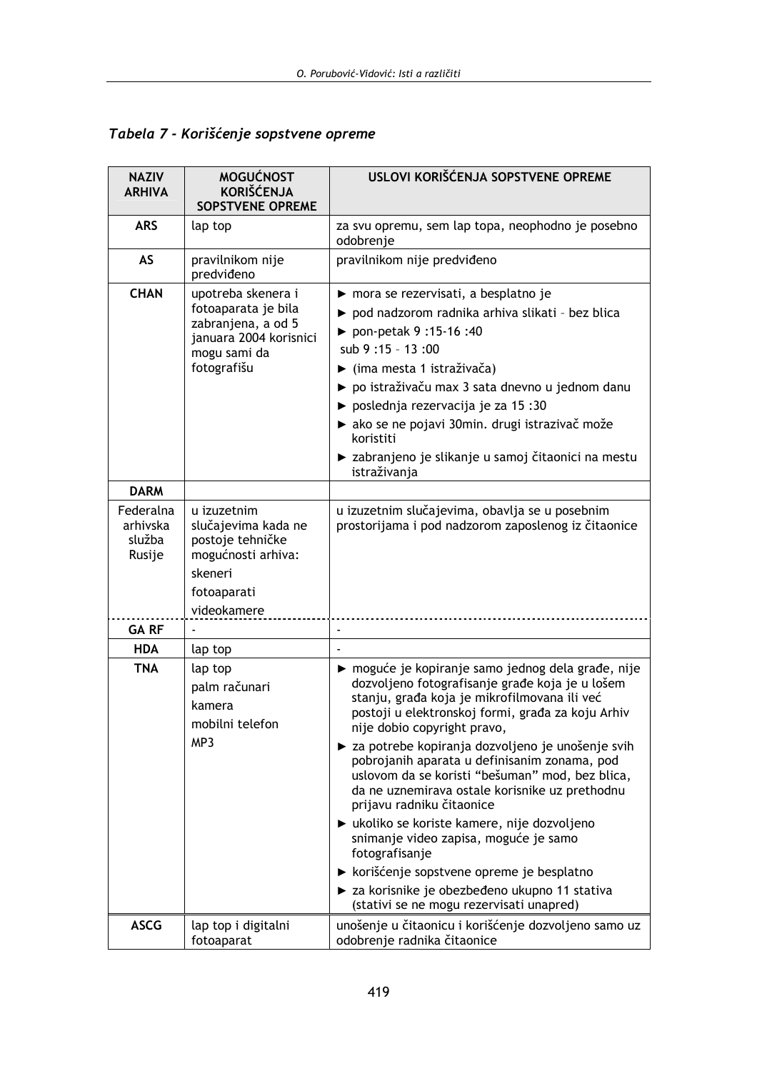|  |  | Tabela 7 - Korišćenje sopstvene opreme |  |  |  |
|--|--|----------------------------------------|--|--|--|
|--|--|----------------------------------------|--|--|--|

| <b>NAZIV</b><br><b>ARHIVA</b>             | <b>MOGUĆNOST</b><br><b>KORIŠĆENJA</b><br><b>SOPSTVENE OPREME</b>                                                         | USLOVI KORIŠĆENJA SOPSTVENE OPREME                                                                                                                                                                                                                                                                                                                                                                                                                                                                                                                                         |
|-------------------------------------------|--------------------------------------------------------------------------------------------------------------------------|----------------------------------------------------------------------------------------------------------------------------------------------------------------------------------------------------------------------------------------------------------------------------------------------------------------------------------------------------------------------------------------------------------------------------------------------------------------------------------------------------------------------------------------------------------------------------|
| <b>ARS</b>                                | lap top                                                                                                                  | za svu opremu, sem lap topa, neophodno je posebno<br>odobrenje                                                                                                                                                                                                                                                                                                                                                                                                                                                                                                             |
| AS                                        | pravilnikom nije<br>predviđeno                                                                                           | pravilnikom nije predviđeno                                                                                                                                                                                                                                                                                                                                                                                                                                                                                                                                                |
| <b>CHAN</b>                               | upotreba skenera i<br>fotoaparata je bila<br>zabranjena, a od 5<br>januara 2004 korisnici<br>mogu sami da<br>fotografišu | mora se rezervisati, a besplatno je<br>pod nadzorom radnika arhiva slikati - bez blica<br>▶ pon-petak 9 :15-16 :40<br>sub 9:15 - 13:00<br>$\blacktriangleright$ (ima mesta 1 istraživača)<br>po istraživaču max 3 sata dnevno u jednom danu<br>▶ poslednja rezervacija je za 15:30<br>A ako se ne pojavi 30min. drugi istrazivač može<br>koristiti<br>► zabranjeno je slikanje u samoj čitaonici na mestu<br>istraživanja                                                                                                                                                  |
| <b>DARM</b>                               |                                                                                                                          |                                                                                                                                                                                                                                                                                                                                                                                                                                                                                                                                                                            |
| Federalna<br>arhivska<br>služba<br>Rusije | u izuzetnim<br>slučajevima kada ne<br>postoje tehničke<br>mogućnosti arhiva:<br>skeneri<br>fotoaparati<br>videokamere    | u izuzetnim slučajevima, obavlja se u posebnim<br>prostorijama i pod nadzorom zaposlenog iz čitaonice                                                                                                                                                                                                                                                                                                                                                                                                                                                                      |
| <b>GARF</b>                               |                                                                                                                          |                                                                                                                                                                                                                                                                                                                                                                                                                                                                                                                                                                            |
| <b>HDA</b>                                | lap top                                                                                                                  |                                                                                                                                                                                                                                                                                                                                                                                                                                                                                                                                                                            |
| <b>TNA</b>                                | lap top<br>palm računari<br>kamera<br>mobilni telefon<br>MP3                                                             | ► moguće je kopiranje samo jednog dela građe, nije<br>dozvoljeno fotografisanje građe koja je u lošem<br>stanju, građa koja je mikrofilmovana ili već<br>postoji u elektronskoj formi, građa za koju Arhiv<br>nije dobio copyright pravo,<br>► za potrebe kopiranja dozvoljeno je unošenje svih<br>pobrojanih aparata u definisanim zonama, pod<br>uslovom da se koristi "bešuman" mod, bez blica,<br>da ne uznemirava ostale korisnike uz prethodnu<br>prijavu radniku čitaonice<br>► ukoliko se koriste kamere, nije dozvoljeno<br>snimanje video zapisa, moguće je samo |
|                                           |                                                                                                                          | fotografisanje<br>> korišćenje sopstvene opreme je besplatno                                                                                                                                                                                                                                                                                                                                                                                                                                                                                                               |
|                                           |                                                                                                                          | > za korisnike je obezbeđeno ukupno 11 stativa<br>(stativi se ne mogu rezervisati unapred)                                                                                                                                                                                                                                                                                                                                                                                                                                                                                 |
| <b>ASCG</b>                               | lap top i digitalni<br>fotoaparat                                                                                        | unošenje u čitaonicu i korišćenje dozvoljeno samo uz<br>odobrenje radnika čitaonice                                                                                                                                                                                                                                                                                                                                                                                                                                                                                        |